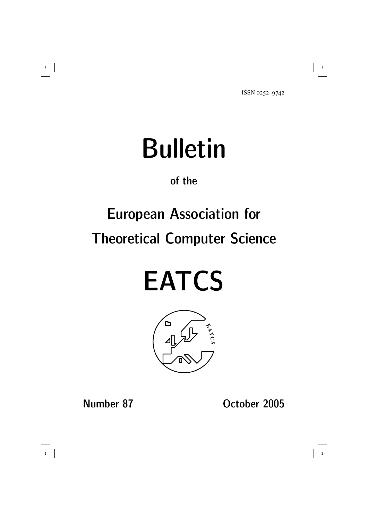# Bulletin

#### of the

## European Association for Theoretical Computer Science

# **EATCS**



Number 87 October 2005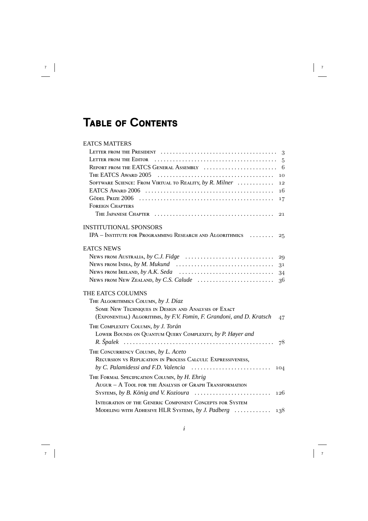### **TABLE OF CONTENTS**

#### **EATCS MATTERS**

|                                                                                                                 | 3              |
|-----------------------------------------------------------------------------------------------------------------|----------------|
|                                                                                                                 | $\overline{5}$ |
| REPORT FROM THE EATCS GENERAL ASSEMBLY                                                                          | 6              |
|                                                                                                                 | 10             |
| SOFTWARE SCIENCE: FROM VIRTUAL TO REALITY, by R. Milner                                                         | 12             |
|                                                                                                                 | 16             |
|                                                                                                                 | 17             |
| <b>FOREIGN CHAPTERS</b>                                                                                         |                |
|                                                                                                                 | 21             |
| <b>INSTITUTIONAL SPONSORS</b>                                                                                   |                |
| IPA - INSTITUTE FOR PROGRAMMING RESEARCH AND ALGORITHMICS                                                       | 25             |
| <b>EATCS NEWS</b>                                                                                               |                |
|                                                                                                                 | 29             |
| NEWS FROM INDIA, by M. Mukund                                                                                   | 31             |
| NEWS FROM IRELAND, by A.K. Seda                                                                                 | 34             |
| NEWS FROM NEW ZEALAND, by C.S. Calude                                                                           | 36             |
| THE EATCS COLUMNS                                                                                               |                |
| THE ALGORITHMICS COLUMN, by J. Díaz                                                                             |                |
| SOME NEW TECHNIQUES IN DESIGN AND ANALYSIS OF EXACT                                                             |                |
| (EXPONENTIAL) ALGORITHMS, by F.V. Fomin, F. Grandoni, and D. Kratsch                                            | 47             |
| THE COMPLEXITY COLUMN, by J. Torán                                                                              |                |
| LOWER BOUNDS ON QUANTUM QUERY COMPLEXITY, by P. Høyer and                                                       |                |
|                                                                                                                 | 78             |
| THE CONCURRENCY COLUMN, by L. Aceto                                                                             |                |
| RECURSION VS REPLICATION IN PROCESS CALCULI: EXPRESSIVENESS,                                                    |                |
| by C. Palamidessi and F.D. Valencia $\ldots \ldots \ldots \ldots \ldots \ldots \ldots \ldots \ldots \qquad$ 104 |                |
| THE FORMAL SPECIFICATION COLUMN, by H. Ehrig                                                                    |                |
| AUGUR - A TOOL FOR THE ANALYSIS OF GRAPH TRANSFORMATION                                                         |                |
|                                                                                                                 | 126            |
| INTEGRATION OF THE GENERIC COMPONENT CONCEPTS FOR SYSTEM                                                        |                |
| MODELING WITH ADHESIVE HLR SYSTEMS, by J. Padberg                                                               | 138            |
|                                                                                                                 |                |